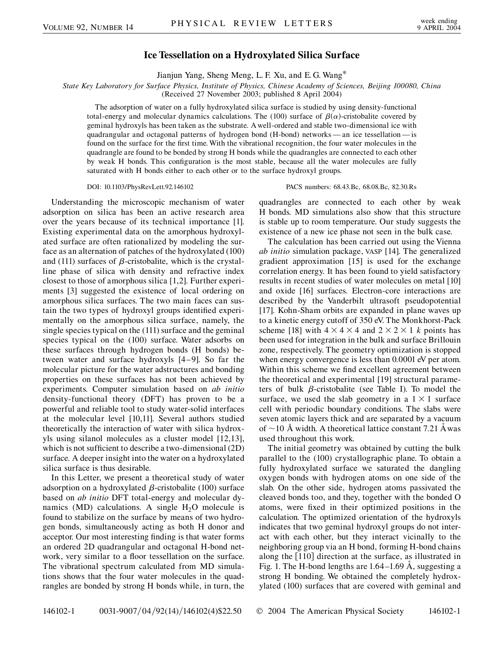## **Ice Tessellation on a Hydroxylated Silica Surface**

Jianjun Yang, Sheng Meng, L. F. Xu, and E. G. Wang\*

*State Key Laboratory for Surface Physics, Institute of Physics, Chinese Academy of Sciences, Beijing 100080, China*

(Received 27 November 2003; published 8 April 2004)

The adsorption of water on a fully hydroxylated silica surface is studied by using density-functional total-energy and molecular dynamics calculations. The (100) surface of  $\beta(\alpha)$ -cristobalite covered by geminal hydroxyls has been taken as the substrate. A well-ordered and stable two-dimensional ice with quadrangular and octagonal patterns of hydrogen bond (H-bond) networks — an ice tessellation — is found on the surface for the first time. With the vibrational recognition, the four water molecules in the quadrangle are found to be bonded by strong H bonds while the quadrangles are connected to each other by weak H bonds. This configuration is the most stable, because all the water molecules are fully saturated with H bonds either to each other or to the surface hydroxyl groups.

DOI: 10.1103/PhysRevLett.92.146102 PACS numbers: 68.43.Bc, 68.08.Bc, 82.30.Rs

Understanding the microscopic mechanism of water adsorption on silica has been an active research area over the years because of its technical importance [1]. Existing experimental data on the amorphous hydroxylated surface are often rationalized by modeling the surface as an alternation of patches of the hydroxylated (100) and (111) surfaces of  $\beta$ -cristobalite, which is the crystalline phase of silica with density and refractive index closest to those of amorphous silica [1,2]. Further experiments [3] suggested the existence of local ordering on amorphous silica surfaces. The two main faces can sustain the two types of hydroxyl groups identified experimentally on the amorphous silica surface, namely, the single species typical on the (111) surface and the geminal species typical on the (100) surface. Water adsorbs on these surfaces through hydrogen bonds (H bonds) between water and surface hydroxyls [4–9]. So far the molecular picture for the water adstructures and bonding properties on these surfaces has not been achieved by experiments. Computer simulation based on *ab initio* density-functional theory (DFT) has proven to be a powerful and reliable tool to study water-solid interfaces at the molecular level [10,11]. Several authors studied theoretically the interaction of water with silica hydroxyls using silanol molecules as a cluster model [12,13], which is not sufficient to describe a two-dimensional (2D) surface. A deeper insight into the water on a hydroxylated silica surface is thus desirable.

In this Letter, we present a theoretical study of water adsorption on a hydroxylated  $\beta$ -cristobalite (100) surface based on *ab initio* DFT total-energy and molecular dynamics (MD) calculations. A single  $H_2O$  molecule is found to stabilize on the surface by means of two hydrogen bonds, simultaneously acting as both H donor and acceptor. Our most interesting finding is that water forms an ordered 2D quadrangular and octagonal H-bond network, very similar to a floor tessellation on the surface. The vibrational spectrum calculated from MD simulations shows that the four water molecules in the quadrangles are bonded by strong H bonds while, in turn, the quadrangles are connected to each other by weak H bonds. MD simulations also show that this structure is stable up to room temperature. Our study suggests the existence of a new ice phase not seen in the bulk case.

The calculation has been carried out using the Vienna *ab initio* simulation package, VASP [14]. The generalized gradient approximation [15] is used for the exchange correlation energy. It has been found to yield satisfactory results in recent studies of water molecules on metal [10] and oxide [16] surfaces. Electron-core interactions are described by the Vanderbilt ultrasoft pseudopotential [17]. Kohn-Sham orbits are expanded in plane waves up to a kinetic energy cutoff of 350 eV. The Monkhorst-Pack scheme [18] with  $4 \times 4 \times 4$  and  $2 \times 2 \times 1$  *k* points has been used for integration in the bulk and surface Brillouin zone, respectively. The geometry optimization is stopped when energy convergence is less than 0.0001 eV per atom. Within this scheme we find excellent agreement between the theoretical and experimental [19] structural parameters of bulk  $\beta$ -cristobalite (see Table I). To model the surface, we used the slab geometry in a  $1 \times 1$  surface cell with periodic boundary conditions. The slabs were seven atomic layers thick and are separated by a vacuum of  $\sim$ 10 Å width. A theoretical lattice constant 7.21 Å was used throughout this work.

The initial geometry was obtained by cutting the bulk parallel to the (100) crystallographic plane. To obtain a fully hydroxylated surface we saturated the dangling oxygen bonds with hydrogen atoms on one side of the slab. On the other side, hydrogen atoms passivated the cleaved bonds too, and they, together with the bonded O atoms, were fixed in their optimized positions in the calculation. The optimized orientation of the hydroxyls indicates that two geminal hydroxyl groups do not interact with each other, but they interact vicinally to the neighboring group via an H bond, forming H-bond chains along the  $[110]$  direction at the surface, as illustrated in Fig. 1. The H-bond lengths are  $1.64-1.69$  Å, suggesting a strong H bonding. We obtained the completely hydroxylated (100) surfaces that are covered with geminal and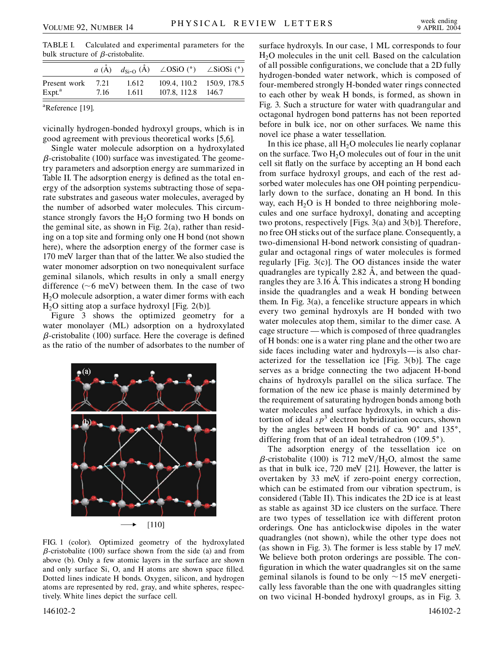TABLE I. Calculated and experimental parameters for the bulk structure of  $\beta$ -cristobalite.

| 7.21<br>7.16 | 1.612<br>1.611 | 109.4, 110.2 150.9, 178.5<br>107.8, 112.8 146.7 |                                                                                        |
|--------------|----------------|-------------------------------------------------|----------------------------------------------------------------------------------------|
|              |                |                                                 | $a(\mathring{A})$ $d_{\text{Si-O}}(\mathring{A})$ $\angle$ OSiO (°) $\angle$ SiOSi (°) |

<sup>a</sup>Reference [19].

vicinally hydrogen-bonded hydroxyl groups, which is in good agreement with previous theoretical works [5,6].

Single water molecule adsorption on a hydroxylated  $\beta$ -cristobalite (100) surface was investigated. The geometry parameters and adsorption energy are summarized in Table II. The adsorption energy is defined as the total energy of the adsorption systems subtracting those of separate substrates and gaseous water molecules, averaged by the number of adsorbed water molecules. This circumstance strongly favors the  $H_2O$  forming two H bonds on the geminal site, as shown in Fig. 2(a), rather than residing on a top site and forming only one H bond (not shown here), where the adsorption energy of the former case is 170 meV larger than that of the latter. We also studied the water monomer adsorption on two nonequivalent surface geminal silanols, which results in only a small energy difference  $(\sim 6 \text{ meV})$  between them. In the case of two  $H<sub>2</sub>O$  molecule adsorption, a water dimer forms with each  $H<sub>2</sub>O$  sitting atop a surface hydroxyl [Fig. 2(b)].

Figure 3 shows the optimized geometry for a water monolayer (ML) adsorption on a hydroxylated  $\beta$ -cristobalite (100) surface. Here the coverage is defined as the ratio of the number of adsorbates to the number of



FIG. 1 (color). Optimized geometry of the hydroxylated  $\beta$ -cristobalite (100) surface shown from the side (a) and from above (b). Only a few atomic layers in the surface are shown and only surface Si, O, and H atoms are shown space filled. Dotted lines indicate H bonds. Oxygen, silicon, and hydrogen atoms are represented by red, gray, and white spheres, respectively. White lines depict the surface cell.

146102-2 146102-2

surface hydroxyls. In our case, 1 ML corresponds to four H2O molecules in the unit cell. Based on the calculation of all possible configurations, we conclude that a 2D fully hydrogen-bonded water network, which is composed of four-membered strongly H-bonded water rings connected to each other by weak H bonds, is formed, as shown in Fig. 3. Such a structure for water with quadrangular and octagonal hydrogen bond patterns has not been reported before in bulk ice, nor on other surfaces. We name this novel ice phase a water tessellation.

In this ice phase, all  $H_2O$  molecules lie nearly coplanar on the surface. Two  $H_2O$  molecules out of four in the unit cell sit flatly on the surface by accepting an H bond each from surface hydroxyl groups, and each of the rest adsorbed water molecules has one OH pointing perpendicularly down to the surface, donating an H bond. In this way, each  $H_2O$  is H bonded to three neighboring molecules and one surface hydroxyl, donating and accepting two protons, respectively [Figs. 3(a) and 3(b)]. Therefore, no free OH sticks out of the surface plane. Consequently, a two-dimensional H-bond network consisting of quadrangular and octagonal rings of water molecules is formed regularly [Fig. 3(c)]. The OO distances inside the water quadrangles are typically  $2.82 \text{ Å}$ , and between the quadrangles they are 3.16 A. This indicates a strong H bonding inside the quadrangles and a weak H bonding between them. In Fig. 3(a), a fencelike structure appears in which every two geminal hydroxyls are H bonded with two water molecules atop them, similar to the dimer case. A cage structure — which is composed of three quadrangles of H bonds: one is a water ring plane and the other two are side faces including water and hydroxyls—is also characterized for the tessellation ice [Fig. 3(b)]. The cage serves as a bridge connecting the two adjacent H-bond chains of hydroxyls parallel on the silica surface. The formation of the new ice phase is mainly determined by the requirement of saturating hydrogen bonds among both water molecules and surface hydroxyls, in which a distortion of ideal  $sp^3$  electron hybridization occurs, shown by the angles between H bonds of ca.  $90^\circ$  and  $135^\circ$ , differing from that of an ideal tetrahedron (109.5°).

The adsorption energy of the tessellation ice on  $\beta$ -cristobalite (100) is 712 meV/ $H_2O$ , almost the same as that in bulk ice, 720 meV [21]. However, the latter is overtaken by 33 meV, if zero-point energy correction, which can be estimated from our vibration spectrum, is considered (Table II). This indicates the 2D ice is at least as stable as against 3D ice clusters on the surface. There are two types of tessellation ice with different proton orderings. One has anticlockwise dipoles in the water quadrangles (not shown), while the other type does not (as shown in Fig. 3). The former is less stable by 17 meV. We believe both proton orderings are possible. The configuration in which the water quadrangles sit on the same geminal silanols is found to be only  $\sim$ 15 meV energetically less favorable than the one with quadrangles sitting on two vicinal H-bonded hydroxyl groups, as in Fig. 3.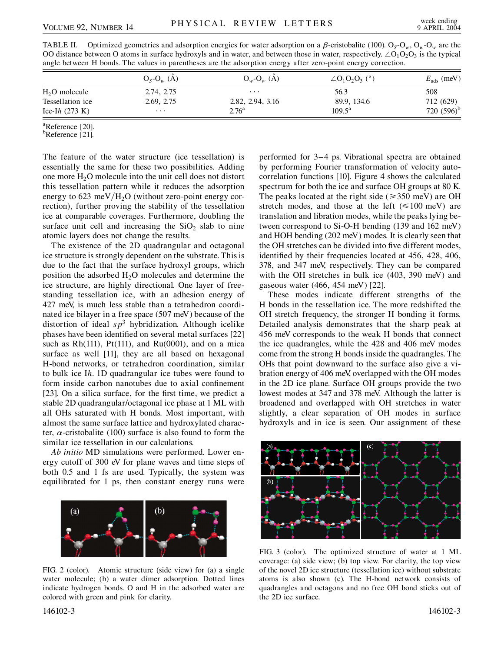|                  | $O_S-O_w(\AA)$ | $O_w-O_w(A)$      | $\angle O_1O_2O_3$ (°) | $E_{\text{ads}}$ (meV) |  |  |
|------------------|----------------|-------------------|------------------------|------------------------|--|--|
| $H2O$ molecule   | 2.74, 2.75     | $\cdots$          | 56.3                   | 508                    |  |  |
| Tessellation ice | 2.69, 2.75     | 2.82, 2.94, 3.16  | 89.9, 134.6            | 712 (629)              |  |  |
| Ice-Ih $(273 K)$ | $\cdots$       | 2.76 <sup>a</sup> | $109.5^{\rm a}$        | 720 $(596)^b$          |  |  |

TABLE II. Optimized geometries and adsorption energies for water adsorption on a  $\beta$ -cristobalite (100). O<sub>S</sub>-O<sub>w</sub>, O<sub>w</sub>-O<sub>w</sub> are the OO distance between O atoms in surface hydroxyls and in water, and between those in water, respectively.  $\angle O_1O_2O_3$  is the typical angle between H bonds. The values in parentheses are the adsorption energy after zero-point energy correction.

 $^{\circ}$ Reference [20].

<sup>b</sup>Reference [21].

The feature of the water structure (ice tessellation) is essentially the same for these two possibilities. Adding one more  $H_2O$  molecule into the unit cell does not distort this tessellation pattern while it reduces the adsorption energy to  $623 \text{ meV/H}_2\text{O}$  (without zero-point energy correction), further proving the stability of the tessellation ice at comparable coverages. Furthermore, doubling the surface unit cell and increasing the  $SiO<sub>2</sub>$  slab to nine atomic layers does not change the results.

The existence of the 2D quadrangular and octagonal ice structure is strongly dependent on the substrate. This is due to the fact that the surface hydroxyl groups, which position the adsorbed  $H_2O$  molecules and determine the ice structure, are highly directional. One layer of freestanding tessellation ice, with an adhesion energy of 427 meV, is much less stable than a tetrahedron coordinated ice bilayer in a free space (507 meV) because of the distortion of ideal  $sp^3$  hybridization. Although icelike phases have been identified on several metal surfaces [22] such as  $Rh(111)$ ,  $Pt(111)$ , and  $Ru(0001)$ , and on a mica surface as well [11], they are all based on hexagonal H-bond networks, or tetrahedron coordination, similar to bulk ice I*h*. 1D quadrangular ice tubes were found to form inside carbon nanotubes due to axial confinement [23]. On a silica surface, for the first time, we predict a stable 2D quadrangular/octagonal ice phase at 1 ML with all OHs saturated with H bonds. Most important, with almost the same surface lattice and hydroxylated character,  $\alpha$ -cristobalite (100) surface is also found to form the similar ice tessellation in our calculations.

*Ab initio* MD simulations were performed. Lower energy cutoff of 300 eV for plane waves and time steps of both 0.5 and 1 fs are used. Typically, the system was equilibrated for 1 ps, then constant energy runs were



FIG. 2 (color). Atomic structure (side view) for (a) a single water molecule; (b) a water dimer adsorption. Dotted lines indicate hydrogen bonds. O and H in the adsorbed water are colored with green and pink for clarity.

performed for 3–4 ps. Vibrational spectra are obtained by performing Fourier transformation of velocity autocorrelation functions [10]. Figure 4 shows the calculated spectrum for both the ice and surface OH groups at 80 K. The peaks located at the right side ( $\geq$  350 meV) are OH stretch modes, and those at the left  $(\leq 100 \text{ meV})$  are translation and libration modes, while the peaks lying between correspond to Si-O-H bending (139 and 162 meV) and HOH bending (202 meV) modes. It is clearly seen that the OH stretches can be divided into five different modes, identified by their frequencies located at 456, 428, 406, 378, and 347 meV, respectively. They can be compared with the OH stretches in bulk ice (403, 390 meV) and gaseous water (466, 454 meV) [22].

These modes indicate different strengths of the H bonds in the tessellation ice. The more redshifted the OH stretch frequency, the stronger H bonding it forms. Detailed analysis demonstrates that the sharp peak at 456 meV corresponds to the weak H bonds that connect the ice quadrangles, while the 428 and 406 meV modes come from the strong H bonds inside the quadrangles. The OHs that point downward to the surface also give a vibration energy of 406 meV, overlapped with the OH modes in the 2D ice plane. Surface OH groups provide the two lowest modes at 347 and 378 meV. Although the latter is broadened and overlapped with OH stretches in water slightly, a clear separation of OH modes in surface hydroxyls and in ice is seen. Our assignment of these



FIG. 3 (color). The optimized structure of water at 1 ML coverage: (a) side view; (b) top view. For clarity, the top view of the novel 2D ice structure (tessellation ice) without substrate atoms is also shown (c). The H-bond network consists of quadrangles and octagons and no free OH bond sticks out of the 2D ice surface.